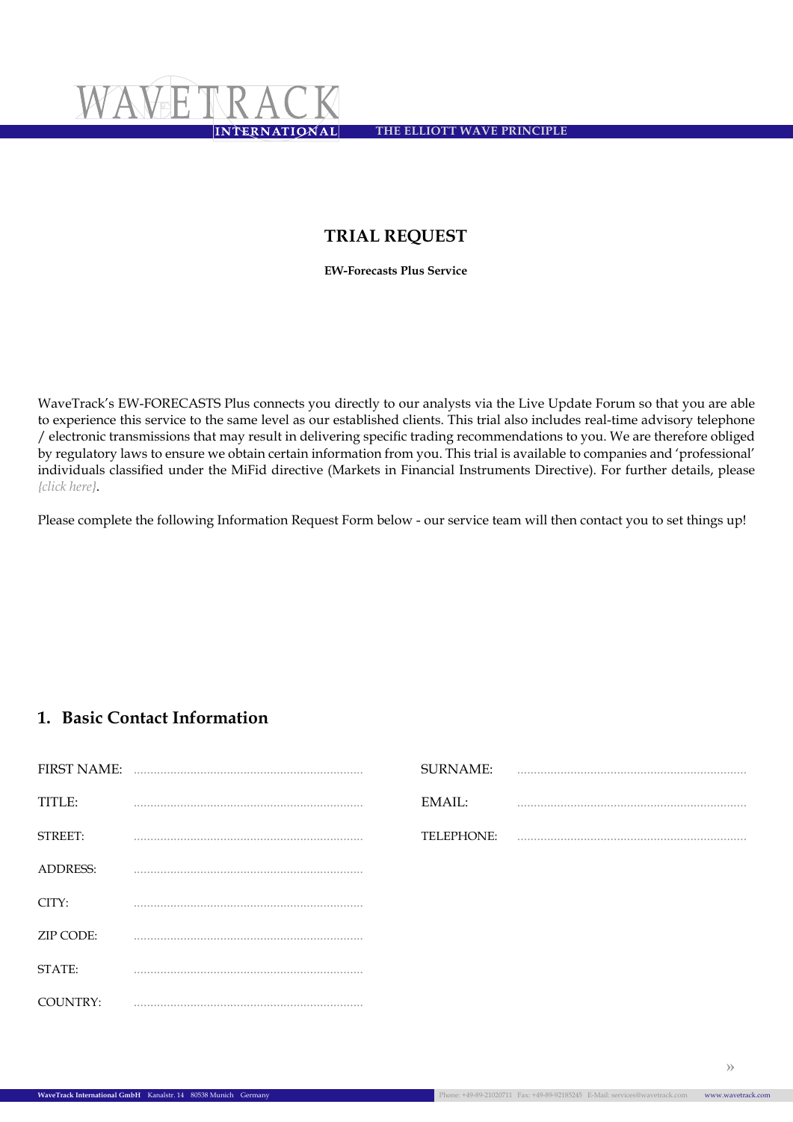<span id="page-0-0"></span>**The Elliott Wave Principle**

# **Trial Request**

**EW-Forecasts Plus Service**

WaveTrack's EW-FORECASTS Plus connects you directly to our analysts via the Live Update Forum so that you are able to experience this service to the same level as our established clients. This trial also includes real-time advisory telephone / electronic transmissions that may result in delivering specific trading recommendations to you. We are therefore obliged by regulatory laws to ensure we obtain certain information from you. This trial is available to companies and 'professional' individuals classified under the MiFid directive (Markets in Financial Instruments Directive). For further details, please *{click here}*.

Please complete the following Information Request Form below - our service team will then contact you to set things up!

## **1. Basic Contact Information**

| <b>FIRST NAME:</b> |   | <b>SURNAME:</b> | . |
|--------------------|---|-----------------|---|
| TITLE:             |   | EMAIL:          |   |
| STREET:            |   | TELEPHONE:      |   |
| <b>ADDRESS:</b>    | . |                 |   |
| CITY:              |   |                 |   |
| ZIP CODE:          |   |                 |   |
| STATE:             |   |                 |   |
| COUNTRY:           |   |                 |   |

**[»](#page-1-0)**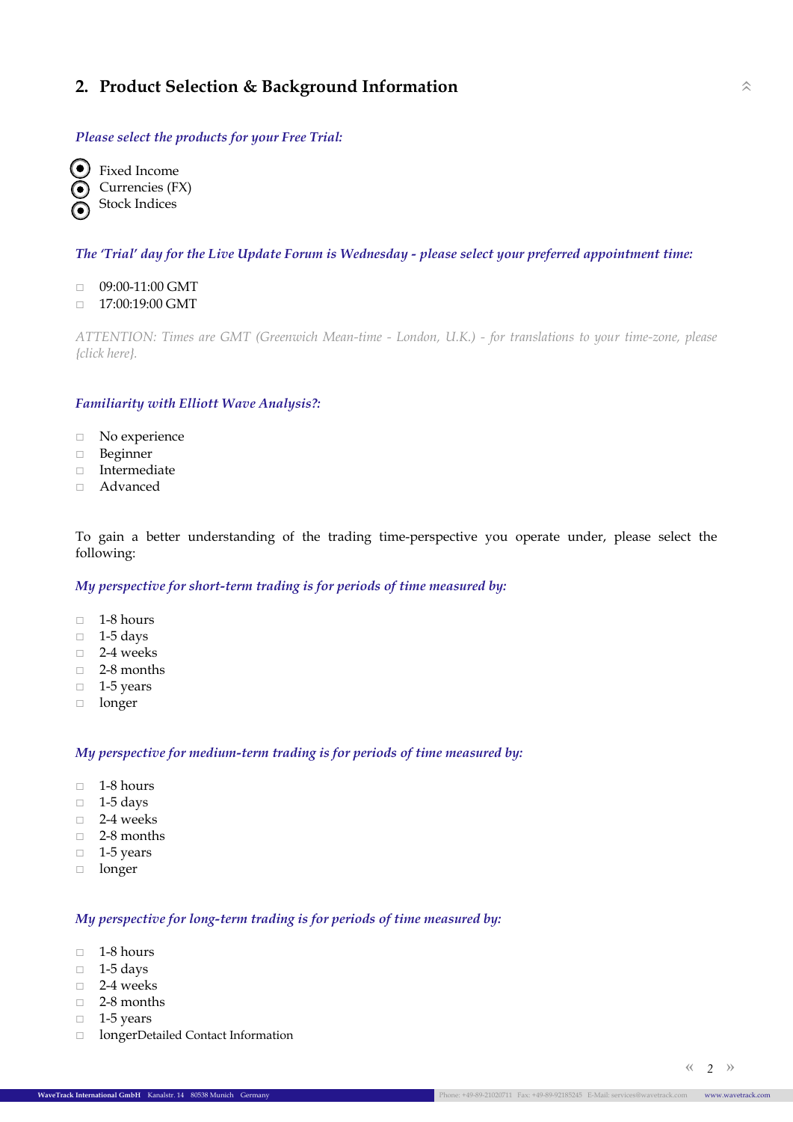### <span id="page-1-0"></span>**2. Product Selection & Background Information** [»](#page-0-0)

#### *Please select the products for your Free Trial:*

Fixed Income Currencies (FX) Stock Indices

#### *The 'Trial' day for the Live Update Forum is Wednesday - please select your preferred appointment time:*

- □ 09:00-11:00 GMT
- □ 17:00:19:00 GMT

*ATTENTION: Times are GMT (Greenwich Mean-time - London, U.K.) - for translations to your time-zone, please {click [here](http://www.timeanddate.com/worldclock/)}.*

#### *Familiarity with Elliott Wave Analysis?:*

- □ No experience
- □ Beginner
- □ Intermediate
- □ Advanced

To gain a better understanding of the trading time-perspective you operate under, please select the following:

#### *My perspective for short-term trading is for periods of time measured by:*

- □ 1-8 hours
- □ 1-5 days
- □ 2-4 weeks
- □ 2-8 months
- □ 1-5 years
- □ longer

#### *My perspective for medium-term trading is for periods of time measured by:*

- □ 1-8 hours
- □ 1-5 days
- □ 2-4 weeks
- □ 2-8 months
- □ 1-5 years
- □ longer

#### *My perspective for long-term trading is for periods of time measured by:*

- □ 1-8 hours
- □ 1-5 days
- □ 2-4 weeks
- □ 2-8 months
- $\Box$  1-5 years
- □ longerDetailed Contact Information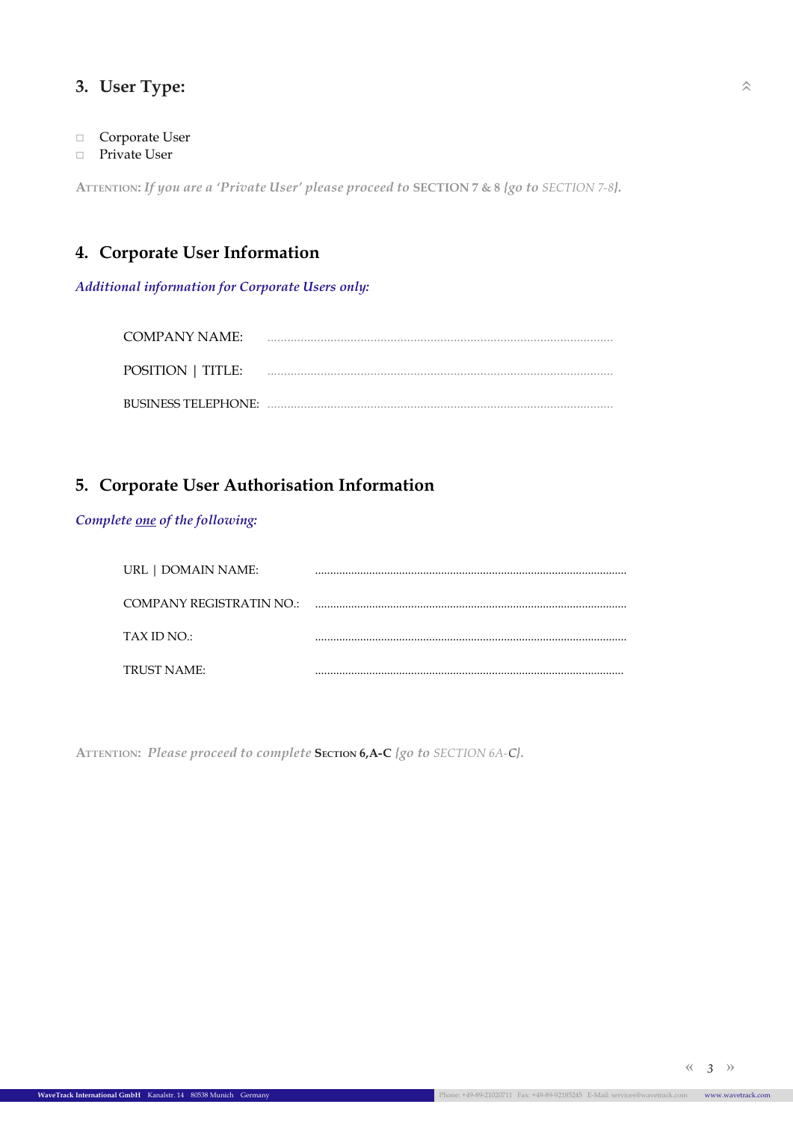# <span id="page-2-0"></span>**3. User Type:** [»](#page-0-0)

- □ Corporate User
- □ Private User

**Attention:** *If you are a 'Private User' please proceed to* **SECTION 7 & 8** *{go to [SECTION 7-8](#page-4-0)}.*

# **4. Corporate User Information**

*Additional information for Corporate Users only:*

| COMPANY NAME:              |  |
|----------------------------|--|
| <b>POSITION</b>   TITLE:   |  |
| <b>BUSINESS TELEPHONE:</b> |  |

# **5. Corporate User Authorisation Information**

### *Complete one of the following:*

| URL   DOMAIN NAME:       |  |
|--------------------------|--|
| COMPANY REGISTRATIN NO.: |  |
| TAX ID NO.:              |  |
| TRUST NAME:              |  |

ATTENTION: Please proceed to complete **SECTION 6,A-C** *{go to [SECTION 6A-C](#page-3-0)}.* 

*3* **[«](#page-1-0) [»](#page-3-0)**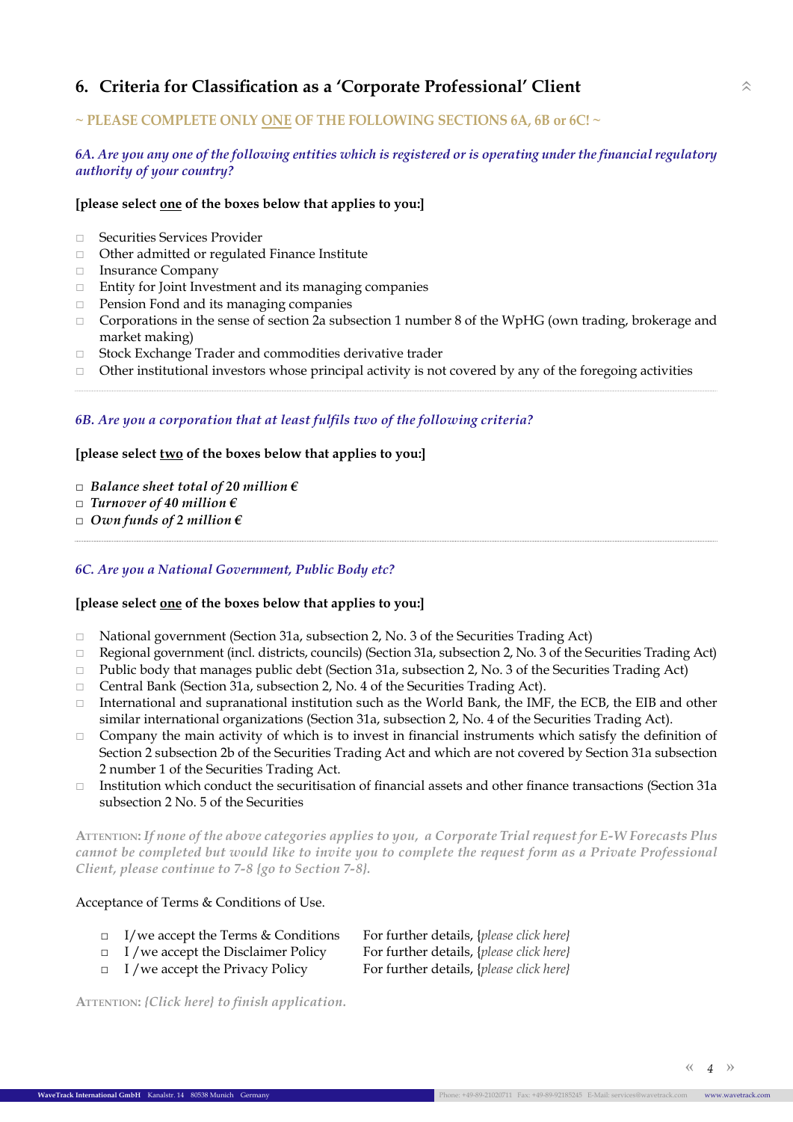# <span id="page-3-0"></span>**6. Criteria for Classification as a 'Corporate Professional' Client** [»](#page-0-0)

### **~ PLEASE COMPLETE ONLY ONE OF THE FOLLOWING SECTIONS 6A, 6B or 6C! ~**

#### *6A. Are you any one of the following entities which is registered or is operating under the financial regulatory authority of your country?*

#### **[please select one of the boxes below that applies to you:]**

- □ Securities Services Provider
- □ Other admitted or regulated Finance Institute
- □ Insurance Company
- □ Entity for Joint Investment and its managing companies
- □ Pension Fond and its managing companies
- $\Box$  Corporations in the sense of section 2a subsection 1 number 8 of the WpHG (own trading, brokerage and market making)
- □ Stock Exchange Trader and commodities derivative trader
- $\Box$  Other institutional investors whose principal activity is not covered by any of the foregoing activities

#### *6B. Are you a corporation that at least fulfils two of the following criteria?*

#### **[please select two of the boxes below that applies to you:]**

- *□ Balance sheet total of 20 million €*
- *□ Turnover of 40 million €*
- *□ Own funds of 2 million €*

#### *6C. Are you a National Government, Public Body etc?*

#### **[please select one of the boxes below that applies to you:]**

- □ National government (Section 31a, subsection 2, No. 3 of the Securities Trading Act)
- □ Regional government (incl. districts, councils) (Section 31a, subsection 2, No. 3 of the Securities Trading Act)
- $\Box$  Public body that manages public debt (Section 31a, subsection 2, No. 3 of the Securities Trading Act)
- □ Central Bank (Section 31a, subsection 2, No. 4 of the Securities Trading Act).
- $\Box$  International and supranational institution such as the World Bank, the IMF, the ECB, the EIB and other similar international organizations (Section 31a, subsection 2, No. 4 of the Securities Trading Act).
- $\Box$  Company the main activity of which is to invest in financial instruments which satisfy the definition of Section 2 subsection 2b of the Securities Trading Act and which are not covered by Section 31a subsection 2 number 1 of the Securities Trading Act.
- □ Institution which conduct the securitisation of financial assets and other finance transactions (Section 31a subsection 2 No. 5 of the Securities

**Attention:** *If none of the above categories applies to you, a Corporate Trial request for E-W Forecasts Plus cannot be completed but would like to invite you to complete the request form as a Private Professional Client, please continue to 7-8 [{go to Section 7-8}.](#page-4-0)*

#### Acceptance of Terms & Conditions of Use.

- □ I/we accept the Terms & Conditions For further details, {*[please click here}](http://www.wavetrack.com/terms.html)*
- 
- 

□ I /we accept the Disclaimer Policy For further details, {*[please click here}](http://www.wavetrack.com/disclaimer.html)* □ I /we accept the Privacy Policy For further details, {*[please click here}](http://www.wavetrack.com/privacy-policy.html)*

**Attention:** *[{Click here}](#page-4-0) to finish application.*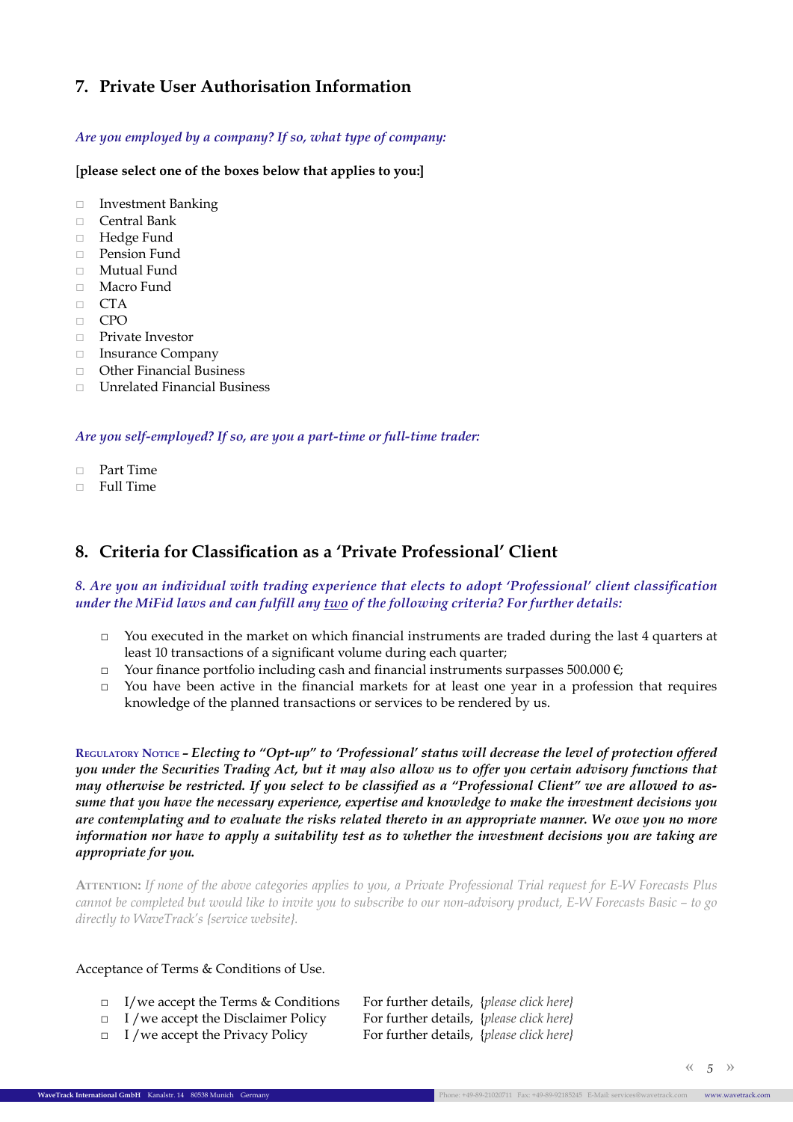## <span id="page-4-0"></span>**7. Private User Authorisation Information**

#### *Are you employed by a company? If so, what type of company:*

[**please select one of the boxes below that applies to you:]**

- □ Investment Banking
- □ Central Bank
- □ Hedge Fund
- □ Pension Fund
- □ Mutual Fund
- □ Macro Fund
- □ CTA
- □ CPO
- □ Private Investor
- □ Insurance Company
- □ Other Financial Business
- □ Unrelated Financial Business

#### *Are you self-employed? If so, are you a part-time or full-time trader:*

- □ Part Time
- □ Full Time

### **8. Criteria for Classification as a 'Private Professional' Client**

#### *8. Are you an individual with trading experience that elects to adopt 'Professional' client classification under the MiFid laws and can fulfill any two of the following criteria? For further details:*

- □ You executed in the market on which financial instruments are traded during the last 4 quarters at least 10 transactions of a significant volume during each quarter;
- □ Your finance portfolio including cash and financial instruments surpasses 500.000  $\epsilon$ ;
- □ You have been active in the financial markets for at least one year in a profession that requires knowledge of the planned transactions or services to be rendered by us.

**Regulatory Notice –** *Electing to "Opt-up" to 'Professional' status will decrease the level of protection offered you under the Securities Trading Act, but it may also allow us to offer you certain advisory functions that may otherwise be restricted. If you select to be classified as a "Professional Client" we are allowed to assume that you have the necessary experience, expertise and knowledge to make the investment decisions you are contemplating and to evaluate the risks related thereto in an appropriate manner. We owe you no more information nor have to apply a suitability test as to whether the investment decisions you are taking are appropriate for you.*

**Attention:** *If none of the above categories applies to you, a Private Professional Trial request for E-W Forecasts Plus cannot be completed but would like to invite you to subscribe to our non-advisory product, E-W Forecasts Basic – to go directly to WaveTrack's [{service website}](http://www.wavetrack.com/subscribe.html).*

#### Acceptance of Terms & Conditions of Use.

|  |  | $\Box$ I/we accept the Terms & Conditions | For further details, {please click here} |  |
|--|--|-------------------------------------------|------------------------------------------|--|
|--|--|-------------------------------------------|------------------------------------------|--|

- 
- □ I /we accept the Privacy Policy For further details, {*[please click here}](http://www.wavetrack.com/privacy-policy.html)*

□ I /we accept the Disclaimer Policy For further details, {*[please click here}](http://www.wavetrack.com/disclaimer.html)*